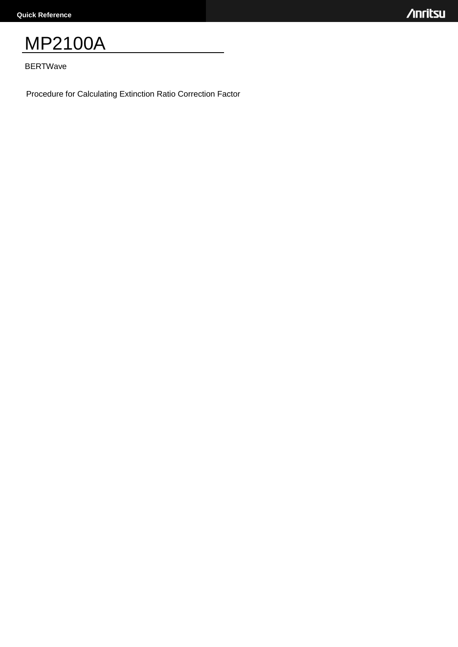# MP2100A

**BERTWave** 

Procedure for Calculating Extinction Ratio Correction Factor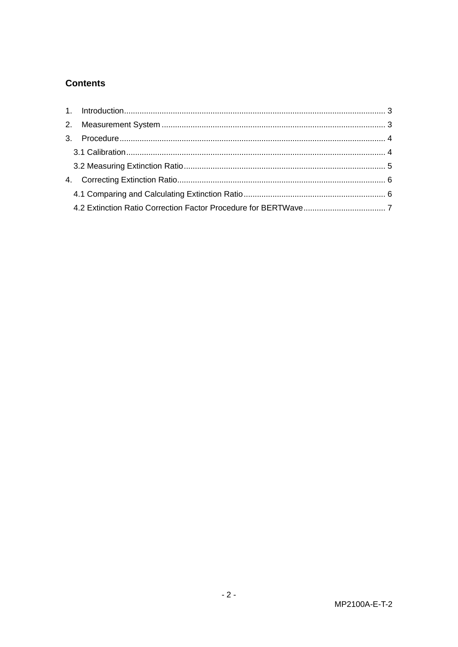## **Contents**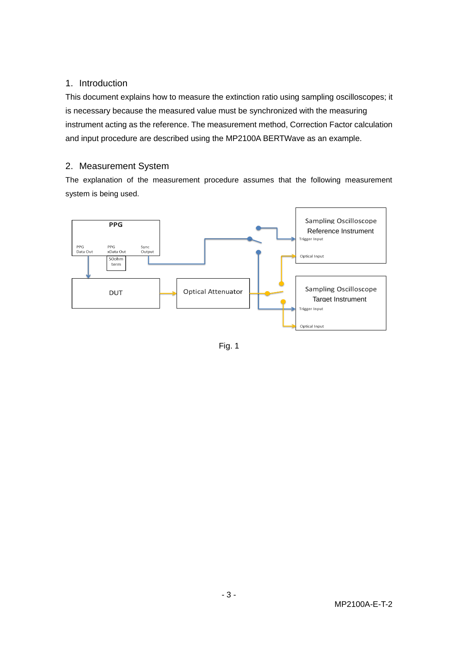## <span id="page-2-0"></span>1. Introduction

This document explains how to measure the extinction ratio using sampling oscilloscopes; it is necessary because the measured value must be synchronized with the measuring instrument acting as the reference. The measurement method, Correction Factor calculation and input procedure are described using the MP2100A BERTWave as an example.

## <span id="page-2-1"></span>2. Measurement System

The explanation of the measurement procedure assumes that the following measurement system is being used.



Fig. 1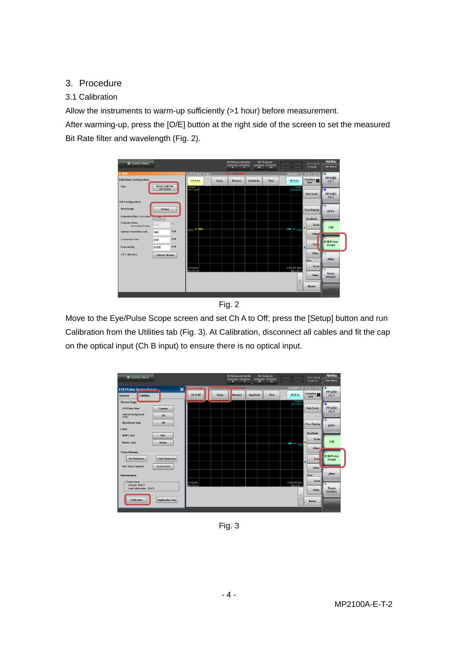## <span id="page-3-0"></span>3. Procedure

## <span id="page-3-1"></span>3.1 Calibration

Allow the instruments to warm-up sufficiently (>1 hour) before measurement.

After warming-up, press the [O/E] button at the right side of the screen to set the measured Bit Rate filter and wavelength (Fig. 2).





Move to the Eye/Pulse Scope screen and set Ch A to Off; press the [Setup] button and run Calibration from the Utilities tab (Fig. 3). At Calibration, disconnect all cables and fit the cap on the optical input (Ch B input) to ensure there is no optical input.



Fig. 3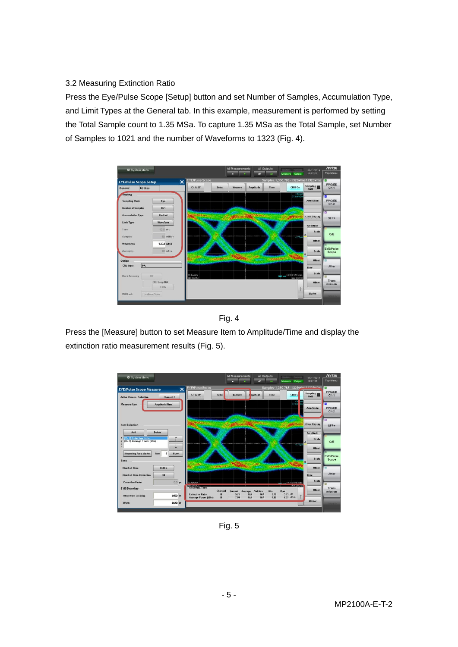## <span id="page-4-0"></span>3.2 Measuring Extinction Ratio

Press the Eye/Pulse Scope [Setup] button and set Number of Samples, Accumulation Type, and Limit Types at the General tab. In this example, measurement is performed by setting the Total Sample count to 1.35 MSa. To capture 1.35 MSa as the Total Sample, set Number of Samples to 1021 and the number of Waveforms to 1323 (Fig. 4).





Press the [Measure] button to set Measure Item to Amplitude/Time and display the extinction ratio measurement results (Fig. 5).



Fig. 5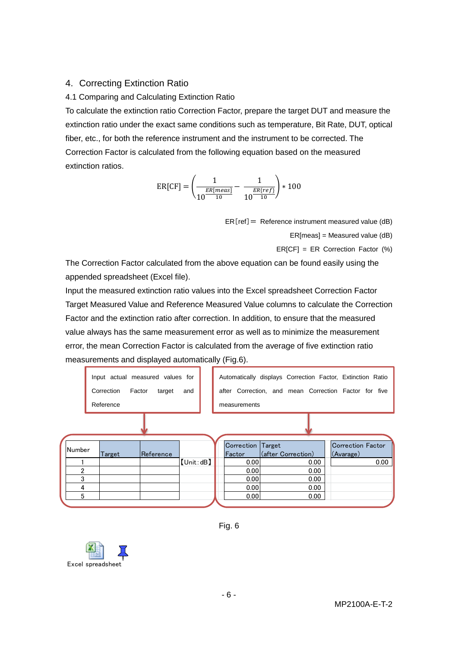## <span id="page-5-0"></span>4. Correcting Extinction Ratio

## <span id="page-5-1"></span>4.1 Comparing and Calculating Extinction Ratio

To calculate the extinction ratio Correction Factor, prepare the target DUT and measure the extinction ratio under the exact same conditions such as temperature, Bit Rate, DUT, optical fiber, etc., for both the reference instrument and the instrument to be corrected. The Correction Factor is calculated from the following equation based on the measured extinction ratios.

$$
ER[CF] = \left(\frac{1}{10^{\frac{ER[meas]}{10}}}-\frac{1}{10^{\frac{ER[ref]}{10}}}\right)*100
$$

 $ER[ref] = Reference instrument measured value (dB)$ 

ER[meas] = Measured value (dB)

 $ER[CF] = ER$  Correction Factor (%)

The Correction Factor calculated from the above equation can be found easily using the appended spreadsheet (Excel file).

Input the measured extinction ratio values into the Excel spreadsheet Correction Factor Target Measured Value and Reference Measured Value columns to calculate the Correction Factor and the extinction ratio after correction. In addition, to ensure that the measured value always has the same measurement error as well as to minimize the measurement error, the mean Correction Factor is calculated from the average of five extinction ratio measurements and displayed automatically (Fig.6).

| Input actual measured values for<br>Correction<br>Factor<br>target<br>and<br>Reference |  |        |  |           |                  | measurements |               |                    | Automatically displays Correction Factor, Extinction Ratio<br>after Correction, and mean Correction Factor for five |                   |
|----------------------------------------------------------------------------------------|--|--------|--|-----------|------------------|--------------|---------------|--------------------|---------------------------------------------------------------------------------------------------------------------|-------------------|
|                                                                                        |  |        |  |           |                  |              |               |                    |                                                                                                                     |                   |
|                                                                                        |  |        |  |           |                  |              | Correction    | Target             |                                                                                                                     | Correction Factor |
| Number                                                                                 |  | Target |  | Reference |                  |              | <b>Factor</b> | (after Correction) |                                                                                                                     | (Avarage)         |
|                                                                                        |  |        |  |           | $[$ Unit: $dB$ ] |              | 0.00          |                    | 0.00                                                                                                                | 0.00              |
| 2                                                                                      |  |        |  |           |                  |              | 0.00          |                    | 0.00                                                                                                                |                   |
| 3                                                                                      |  |        |  |           |                  |              | 0.00          |                    | 0.00                                                                                                                |                   |
|                                                                                        |  |        |  |           |                  |              | 0.00          |                    | 0.00                                                                                                                |                   |
| 5                                                                                      |  |        |  |           |                  |              | 0.00          |                    | 0.00                                                                                                                |                   |
|                                                                                        |  |        |  |           |                  |              |               |                    |                                                                                                                     |                   |

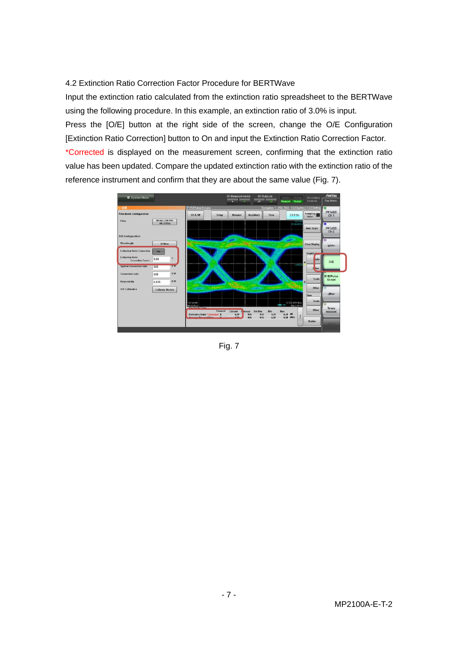## <span id="page-6-0"></span>4.2 Extinction Ratio Correction Factor Procedure for BERTWave

Input the extinction ratio calculated from the extinction ratio spreadsheet to the BERTWave using the following procedure. In this example, an extinction ratio of 3.0% is input.

Press the [O/E] button at the right side of the screen, change the O/E Configuration [Extinction Ratio Correction] button to On and input the Extinction Ratio Correction Factor. \*Corrected is displayed on the measurement screen, confirming that the extinction ratio value has been updated. Compare the updated extinction ratio with the extinction ratio of the reference instrument and confirm that they are about the same value (Fig. 7).



Fig. 7